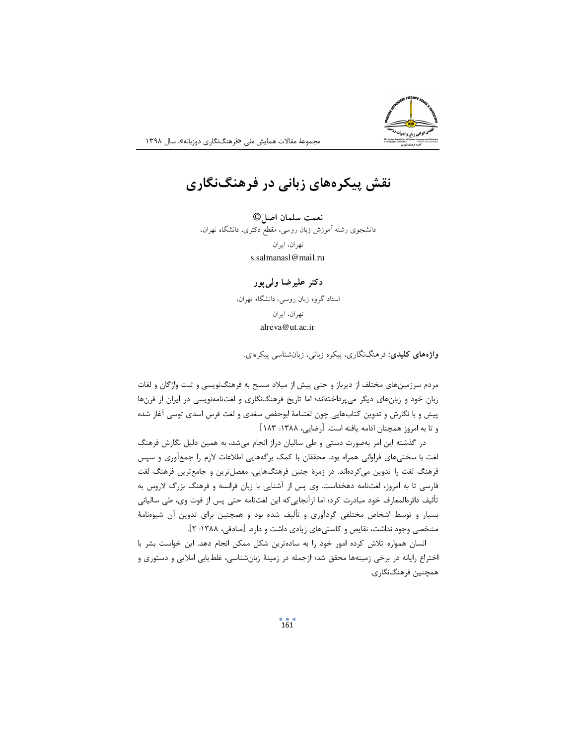

## نقش پیکرەهای زبانی در فرهنگ<code>نگاری</code>

نعمت سلمان اصل© دانشجوی رشته آموزش زبان روسی، مقطع دکتری، دانشگاه تهران، تهران، ايران s.salmanasl@mail.ru

## دكتر عليرضا ولي يور

استاد گروه زبان روسی، دانشگاه تهران، تهران، ايران alreva@ut.ac.ir

**واژههای کلیدی**: فرهنگنگاری، پیکره زبانی، زبانشناسی پیکرهای.

مردم سرزمینهای مختلف از دیرباز و حتی پیش از میلاد مسیح به فرهنگنویسی و ثبت واژگان و لغات زبان خود و زبانهای دیگر می پرداختهاند؛ اما تاریخ فرهنگنگاری و لغتنامهنویسی در ایران از قرنها پیش و با نگارش و تدوین کتابهایی چون لغتنامهٔ ابوحفص سغدی و لغت فرس اسدی توسی آغاز شده و تا به امروز همچنان ادامه یافته است. [رضایی، ۱۳۸۸: ۱۸۳]

در گذشته این امر بهصورت دستی و طی سالیان دراز انجام میشد، به همین دلیل نگارش فرهنگ لغت با سختیهای فراوانی همراه بود. محققان با کمک برگههایی اطلاعات لازم را جمعآوری و سپس فرهنگ لغت را تدوین میکردهاند. در زمرهٔ چنین فرهنگهایی، مفصلترین و جامعترین فرهنگ لغت فارسی تا به امروز، لغتنامه دهخداست. وی پس از آشنایی با زبان فرانسه و فرهنگ بزرگ لاروس به تألیف دائرەالمعارف خود مبادرت کرد؛ اما ازآنجاییکه این لغتنامه حتی پس از فوت وی، طی سالیانی بسیار و توسط اشخاص مختلفی گردآوری و تألیف شده بود و همچنین برای تدوین آن شیوهنامهٔ مشخصی وجود نداشت، نقایص و کاستیهای زیادی داشت و دارد. [صادقی، ۱۳۸۸: ۲].

انسان همواره تلاش کرده امور خود را به سادهترین شکل ممکن انجام دهد. این خواست بشر با اختراع رایانه در برخی زمینهها محقق شد؛ ازجمله در زمینهٔ زبانشناسی، غلطیابی املایی و دستوری و همچنین فرهنگنگاری.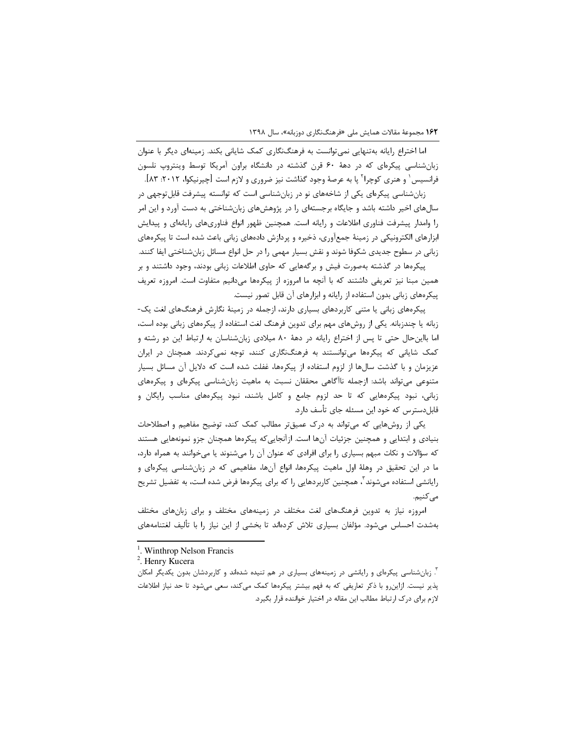اما اختراع رایانه بهتنهایی نمیٍتوانست به فرهنگنگاری کمک شایانی بکند. زمینهای دیگر با عنوان زبان شناسی پیکرهای که در دههٔ ۶۰ قرن گذشته در دانشگاه براون آمریکا توسط وینتروپ نلسون فرانسیس' و هنری کوچرا آ پا به عرصهٔ وجود گذاشت نیز ضروری و لازم است [چیرنیکوا، ۲۰۱۲: ۸۳].

زبانشناسی پیکرهای یکی از شاخههای نو در زبانشناسی است که توانسته پیشرفت قابل توجهی در سالهای اخیر داشته باشد و جایگاه برجستهای را در پژوهشهای زبانشناختی به دست آورد و این امر را وامدار پیشرفت فناوری اطلاعات و رایانه است. همچنین ظهور انواع فناوریهای رایانهای و پیدایش ابزارهای الکترونیکی در زمینهٔ جمعآوری، ذخیره و پردازش دادههای زبانی باعث شده است تا پیکرههای زبانی در سطوح جدیدی شکوفا شوند و نقش بسیار مهمی را در حل انواع مسائل زبانشناختی ایفا کنند.

پیکرهها در گذشته بهصورت فیش و برگههایی که حاوی اطلاعات زبانی بودند، وجود داشتند و بر همین مبنا نیز تعریفی داشتند که با آنچه ما امروزه از پیکرهها میدانیم متفاوت است. امروزه تعریف پیکرههای زبانی بدون استفاده از رایانه و ابزارهای آن قابل تصور نیست.

پیکرههای زبانی یا متنی کاربردهای بسیاری دارند، ازجمله در زمینهٔ نگارش فرهنگهای لغت یک-زبانه یا چندزبانه. یکی از روشهای مهم برای تدوین فرهنگ لغت استفاده از پیکرههای زبانی بوده است، اما بااین حال حتی تا پس از اختراع رایانه در دههٔ ۸۰ میلادی زبانشناسان به ارتباط این دو رشته و کمک شایانی که پیکرهها میتوانستند به فرهنگنگاری کنند، توجه نمیکردند. همچنان در ایران عزیزمان و با گذشت سالها از لزوم استفاده از پیکرهها، غفلت شده است که دلایل آن مسائل بسیار متنوعی می تواند باشد: ازجمله ناآگاهی محققان نسبت به ماهیت زبانشناسی پیکرهای و پیکرههای زبانی، نبود پیکرههایی که تا حد لزوم جامع و کامل باشند، نبود پیکرههای مناسب رایگان و قابل دسترس که خود این مسئله جای تأسف دارد.

یکی از روشهایی که می تواند به درک عمیقتر مطالب کمک کند، توضیح مفاهیم و اصطلاحات بنیادی و ابتدایی و همچنین جزئیات آنها است. ازآنجایی که پیکرهها همچنان جزو نمونههایی هستند که سؤالات و نکات مبهم بسیاری را برای افرادی که عنوان آن را میشنوند یا میخوانند به همراه دارد، ما در این تحقیق در وهلهٔ اول ماهیت پیکرهها، انواع آنها، مفاهیمی که در زبانشناسی پیکرهای و رایانشی استفاده میشوند آ، همچنین کاربردهایی را که برای پیکرهها فرض شده است، به تفضیل تشریح مي كنيم.

امروزه نیاز به تدوین فرهنگهای لغت مختلف در زمینههای مختلف و برای زبانهای مختلف بەشدت احساس مىشود. مؤلفان بسيارى تلاش كردەاند تا بخشى از اين نياز را با تأليف لغتنامەھاى

<sup>&</sup>lt;sup>1</sup>. Winthrop Nelson Francis

<sup>&</sup>lt;sup>2</sup>. Henry Kucera

<sup>&</sup>lt;sup>۲</sup>. زبانشناسی پیکرهای و رایانشی در زمینههای بسیاری در هم تنیده شدهاند و کاربردشان بدون یکدیگر امکان پذیر نیست. ازاین٫رو با ذکر تعاریفی که به فهم بیشتر پیکرهها کمک میکند، سعی میشود تا حد نیاز اطلاعات لازم برای درک ارتباط مطالب این مقاله در اختیار خواننده قرار بگیرد.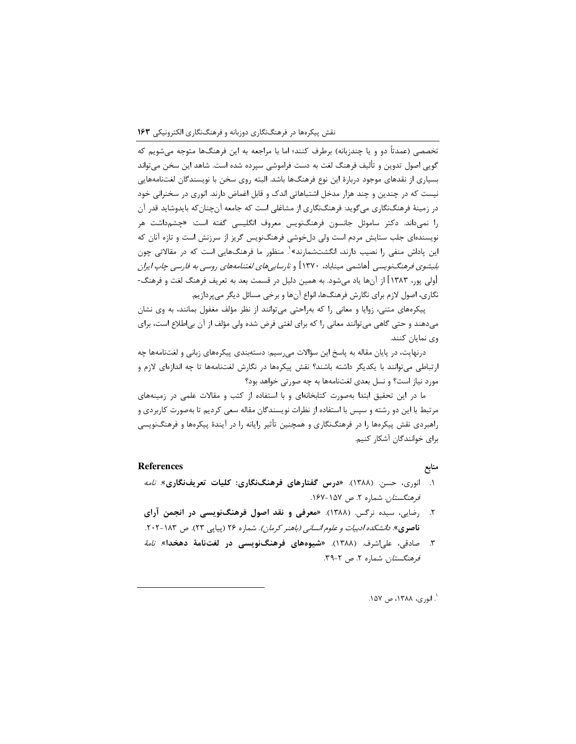تخصصی (عمدتاً دو و یا چندزبانه) برطرف کنند؛ اما با مراجعه به این فرهنگها متوجه میشویم که گویی اصول تدوین و تألیف فرهنگ لغت به دست فراموشی سپرده شده است. شاهد این سخن می¤واند بسیاری از نقدهای موجود دربارهٔ این نوع فرهنگها باشد. البته روی سخن با نویسندگان لغتنامههایی نیست که در چندین و چند هزار مدخل اشتباهاتی اندک و قابل اغماض دارند. انوری در سخنرانی خود در زمینهٔ فرهنگنگاری میگوید: فرهنگنگاری از مشاغلی است که جامعه آنچنان که بایدوشاید قدر آن را نمیداند. دکتر ساموئل جانسون فرهنگنویس معروف انگلیسی گفته است: «چشمداشت هر نویسندهای جلب ستایش مردم است ولی دلخوشی فرهنگنویس گریز از سرزنش است و تازه آنان که این پاداش منفی را نصیب دارند، انگشتشمارند» ٰ. منظور ما فرهنگهایی است که در مقالاتی چون ب*لبشوی فرهنگنویسی* [هاشمی میناباد، ۱۳۷۰] و *نارساییهای لغتنامههای روسی به فارسی چاپ ایران* [ولی پور، ۱۳۸۳] از آنها یاد میشود. به همین دلیل در قسمت بعد به تعریف فرهنگ لغت و فرهنگ-نگاری، اصول لازم برای نگارش فرهنگها، انواع آنها و برخی مسائل دیگر می پردازیم.

پیکرههای متنی، زوایا و معانی را که بهراحتی میتوانند از نظر مؤلف مغفول بمانند، به وی نشان میدهند و حتی گاهی می توانند معانی را که برای لغتی فرض شده ولی مؤلف از آن بی|طلاع است، برای وی نمایان کنند.

درنهایت، در پایان مقاله به پاسخ این سؤالات میرسیم: دستهبندی پیکرههای زبانی و لغتنامهها چه ارتباطی میتوانند با یکدیگر داشته باشند؟ نقش پیکرهها در نگارش لغتنامهها تا چه اندازهای لازم و مورد نیاز است؟ و نسل بعدی لغتنامهها به چه صورتی خواهد بود؟

ما در این تحقیق ابتدا بهصورت کتابخانهای و با استفاده از کتب و مقالات علمی در زمینههای مرتبط با این دو رشته و سپس با استفاده از نظرات نویسندگان مقاله سعی کردیم تا بهصورت کاربردی و راهبردی نقش پیکرمها را در فرهنگنگاری و همچنین تأثیر رایانه را در آیندهٔ پیکرمها و فرهنگنویسی برای خوانندگان آشکار کنیم.

## **References**

## منابع

- ۱. انوری، حسن. (۱۳۸۸). «**درس گفتارهای فرهنگنگاری: کلیات تعریفنگاری**». *نامه* فرهنگستان. شماره ۲. ص ۱۵۷-۱۶۷.
- ۲. (ضایی، سیده نرگس. (۱۳۸۸). «**معرفی و نقد اصول فرهنگنویسی در انجمن آرای ناصری»**. *دانشکده ادبیات و علوم انسانی (باهنر کرمان)*. شماره ۲۶ (پیایی ۲۳). ص ۱۸۳-۲۰۲.
- ۳. صادقی، علی|شرف. (۱۳۸۸). **«شیوههای فرهنگنویسی در لغتنامهٔ دهخدا**» *نامهٔ* قرهنگستان. شماره ۲. ص ۲-۳۹.

`. انوري، ۱۳۸۸، ص ۱۵۷.